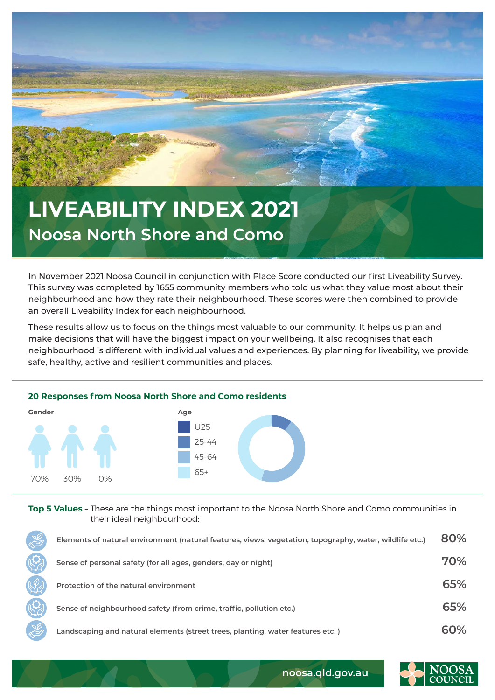

## **LIVEABILITY INDEX 2021 Noosa North Shore and Como**

In November 2021 Noosa Council in conjunction with Place Score conducted our first Liveability Survey. This survey was completed by 1655 community members who told us what they value most about their neighbourhood and how they rate their neighbourhood. These scores were then combined to provide an overall Liveability Index for each neighbourhood.

These results allow us to focus on the things most valuable to our community. It helps us plan and make decisions that will have the biggest impact on your wellbeing. It also recognises that each neighbourhood is different with individual values and experiences. By planning for liveability, we provide safe, healthy, active and resilient communities and places.



**Top 5 Values** – These are the things most important to the Noosa North Shore and Como communities in their ideal neighbourhood:

| $\mathbb{Z}$ | Elements of natural environment (natural features, views, vegetation, topography, water, wildlife etc.) | 80% |
|--------------|---------------------------------------------------------------------------------------------------------|-----|
|              | Sense of personal safety (for all ages, genders, day or night)                                          | 70% |
|              | Protection of the natural environment                                                                   | 65% |
|              | Sense of neighbourhood safety (from crime, traffic, pollution etc.)                                     | 65% |
|              | Landscaping and natural elements (street trees, planting, water features etc.)                          | 60% |



**noosa.qld.gov.au**